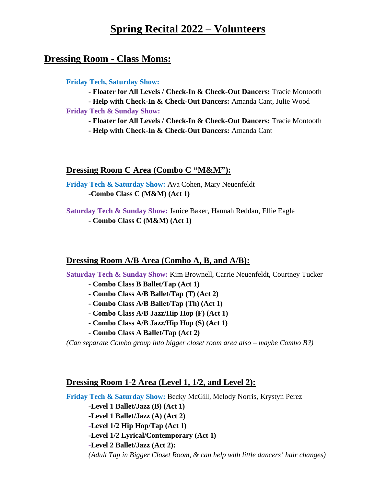# **Spring Recital 2022 – Volunteers**

## **Dressing Room - Class Moms:**

#### **Friday Tech, Saturday Show:**

**- Floater for All Levels / Check-In & Check-Out Dancers:** Tracie Montooth

**- Help with Check-In & Check-Out Dancers:** Amanda Cant, Julie Wood

**Friday Tech & Sunday Show:**

**- Floater for All Levels / Check-In & Check-Out Dancers:** Tracie Montooth

**- Help with Check-In & Check-Out Dancers:** Amanda Cant

## **Dressing Room C Area (Combo C "M&M"):**

**Friday Tech & Saturday Show:** Ava Cohen, Mary Neuenfeldt **-Combo Class C (M&M) (Act 1)**

**Saturday Tech & Sunday Show:** Janice Baker, Hannah Reddan, Ellie Eagle **- Combo Class C (M&M) (Act 1)**

## **Dressing Room A/B Area (Combo A, B, and A/B):**

**Saturday Tech & Sunday Show:** Kim Brownell, Carrie Neuenfeldt, Courtney Tucker

- **- Combo Class B Ballet/Tap (Act 1)**
- **- Combo Class A/B Ballet/Tap (T) (Act 2)**
- **- Combo Class A/B Ballet/Tap (Th) (Act 1)**
- **- Combo Class A/B Jazz/Hip Hop (F) (Act 1)**
- **- Combo Class A/B Jazz/Hip Hop (S) (Act 1)**
- **- Combo Class A Ballet/Tap (Act 2)**

*(Can separate Combo group into bigger closet room area also – maybe Combo B?)*

## **Dressing Room 1-2 Area (Level 1, 1/2, and Level 2):**

**Friday Tech & Saturday Show:** Becky McGill, Melody Norris, Krystyn Perez

- **-Level 1 Ballet/Jazz (B) (Act 1)**
- **-Level 1 Ballet/Jazz (A) (Act 2)**
- **-Level 1/2 Hip Hop/Tap (Act 1)**
- **-Level 1/2 Lyrical/Contemporary (Act 1)**

**-Level 2 Ballet/Jazz (Act 2):**

*(Adult Tap in Bigger Closet Room, & can help with little dancers' hair changes)*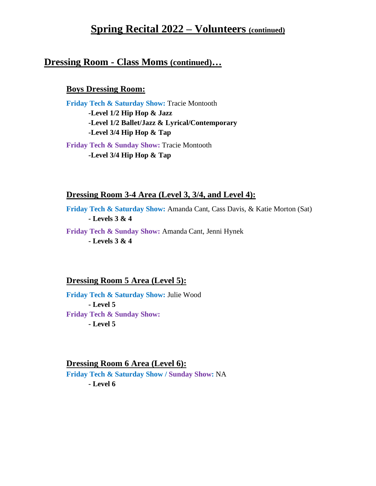# **Spring Recital 2022 – Volunteers (continued)**

## **Dressing Room - Class Moms (continued)…**

## **Boys Dressing Room:**

**Friday Tech & Saturday Show:** Tracie Montooth **-Level 1/2 Hip Hop & Jazz -Level 1/2 Ballet/Jazz & Lyrical/Contemporary -Level 3/4 Hip Hop & Tap**

**Friday Tech & Sunday Show:** Tracie Montooth **-Level 3/4 Hip Hop & Tap**

#### **Dressing Room 3-4 Area (Level 3, 3/4, and Level 4):**

**Friday Tech & Saturday Show:** Amanda Cant, Cass Davis, & Katie Morton (Sat) **- Levels 3 & 4**

**Friday Tech & Sunday Show:** Amanda Cant, Jenni Hynek **- Levels 3 & 4**

## **Dressing Room 5 Area (Level 5):**

**Friday Tech & Saturday Show:** Julie Wood **- Level 5 Friday Tech & Sunday Show: - Level 5**

#### **Dressing Room 6 Area (Level 6):**

**Friday Tech & Saturday Show / Sunday Show:** NA **- Level 6**